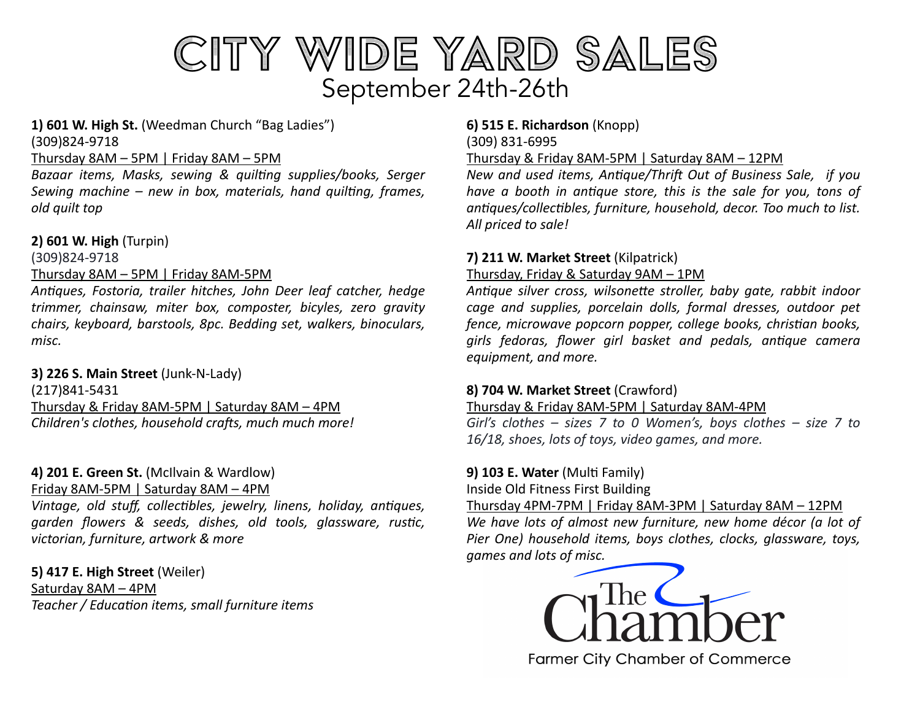

#### **1) 601 W. High St.** (Weedman Church "Bag Ladies") (309)824-9718

### Thursday 8AM – 5PM | Friday 8AM – 5PM

Bazaar items, Masks, sewing & quilting supplies/books, Serger *Sewing machine – new in box, materials, hand quilting, frames, old quilt top* 

### **2) 601 W. High** (Turpin)

(309)824-9718

### Thursday 8AM – 5PM | Friday 8AM-5PM

*An5ques, Fostoria, trailer hitches, John Deer leaf catcher, hedge trimmer, chainsaw, miter box, composter, bicyles, zero gravity chairs, keyboard, barstools, 8pc. Bedding set, walkers, binoculars, misc.* 

### **3) 226 S. Main Street** (Junk-N-Lady)

(217)841-5431 Thursday & Friday 8AM-5PM | Saturday 8AM – 4PM *Children's clothes, household crafts, much much more!* 

# **4) 201 E. Green St.** (McIlvain & Wardlow)

Friday 8AM-5PM | Saturday 8AM – 4PM

*Vintage, old stuff, collectibles, jewelry, linens, holiday, antiques,* garden flowers & seeds, dishes, old tools, glassware, rustic, *victorian, furniture, artwork & more* 

**5) 417 E. High Street** (Weiler) Saturday 8AM – 4PM *Teacher / Educa5on items, small furniture items*

# **6) 515 E. Richardson** (Knopp) (309) 831-6995

Thursday & Friday 8AM-5PM | Saturday 8AM – 12PM

*New and used items, Antique/Thrift Out of Business Sale, if you have a booth in antique store, this is the sale for you, tons of an5ques/collec5bles, furniture, household, decor. Too much to list. All priced to sale!*

## **7) 211 W. Market Street** (Kilpatrick)

### Thursday, Friday & Saturday 9AM – 1PM

Antique silver cross, wilsonette stroller, baby gate, rabbit indoor *cage and supplies, porcelain dolls, formal dresses, outdoor pet fence, microwave popcorn popper, college books, christian books,*  $q$ *irls fedoras, flower girl basket and pedals, antique camera equipment, and more.* 

### **8) 704 W. Market Street** (Crawford)

Thursday & Friday 8AM-5PM | Saturday 8AM-4PM

*Girl's clothes – sizes 7 to 0 Women's, boys clothes – size 7 to 16/18, shoes, lots of toys, video games, and more.* 

### **9) 103 E. Water** (Multi Family)

Inside Old Fitness First Building

Thursday 4PM-7PM | Friday 8AM-3PM | Saturday 8AM – 12PM *We have lots of almost new furniture, new home décor (a lot of Pier One) household items, boys clothes, clocks, glassware, toys, games and lots of misc.* 



**Farmer City Chamber of Commerce**